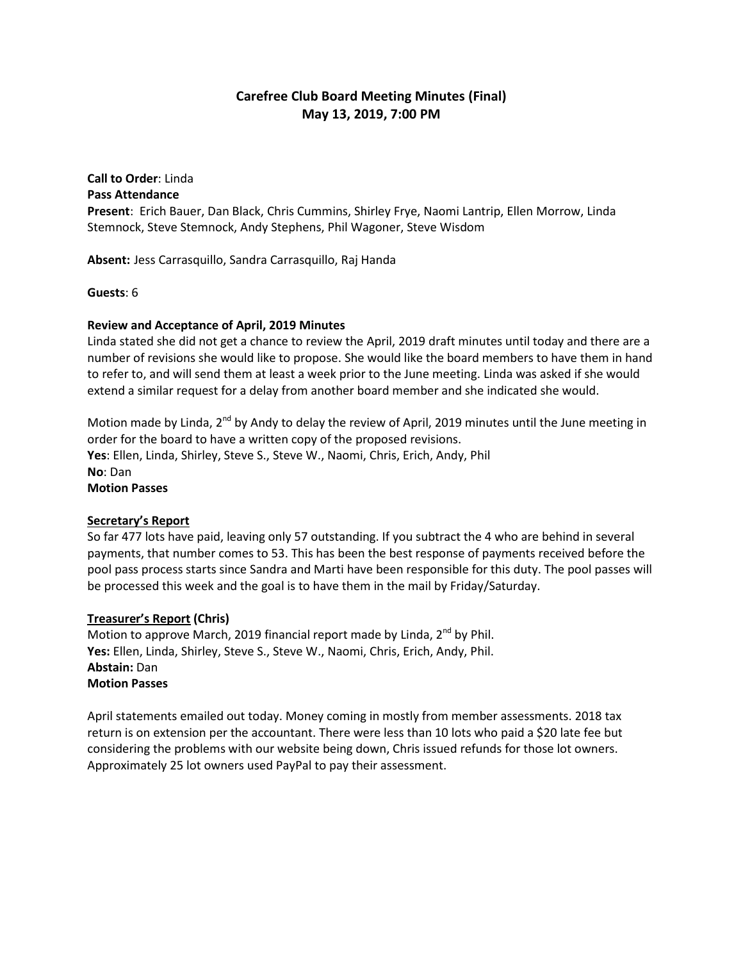# **Carefree Club Board Meeting Minutes (Final) May 13, 2019, 7:00 PM**

#### **Call to Order**: Linda **Pass Attendance**

**Present**: Erich Bauer, Dan Black, Chris Cummins, Shirley Frye, Naomi Lantrip, Ellen Morrow, Linda Stemnock, Steve Stemnock, Andy Stephens, Phil Wagoner, Steve Wisdom

**Absent:** Jess Carrasquillo, Sandra Carrasquillo, Raj Handa

**Guests**: 6

# **Review and Acceptance of April, 2019 Minutes**

Linda stated she did not get a chance to review the April, 2019 draft minutes until today and there are a number of revisions she would like to propose. She would like the board members to have them in hand to refer to, and will send them at least a week prior to the June meeting. Linda was asked if she would extend a similar request for a delay from another board member and she indicated she would.

Motion made by Linda, 2<sup>nd</sup> by Andy to delay the review of April, 2019 minutes until the June meeting in order for the board to have a written copy of the proposed revisions. **Yes**: Ellen, Linda, Shirley, Steve S., Steve W., Naomi, Chris, Erich, Andy, Phil **No**: Dan **Motion Passes**

### **Secretary's Report**

So far 477 lots have paid, leaving only 57 outstanding. If you subtract the 4 who are behind in several payments, that number comes to 53. This has been the best response of payments received before the pool pass process starts since Sandra and Marti have been responsible for this duty. The pool passes will be processed this week and the goal is to have them in the mail by Friday/Saturday.

# **Treasurer's Report (Chris)**

Motion to approve March, 2019 financial report made by Linda,  $2^{nd}$  by Phil. **Yes:** Ellen, Linda, Shirley, Steve S., Steve W., Naomi, Chris, Erich, Andy, Phil. **Abstain:** Dan **Motion Passes**

April statements emailed out today. Money coming in mostly from member assessments. 2018 tax return is on extension per the accountant. There were less than 10 lots who paid a \$20 late fee but considering the problems with our website being down, Chris issued refunds for those lot owners. Approximately 25 lot owners used PayPal to pay their assessment.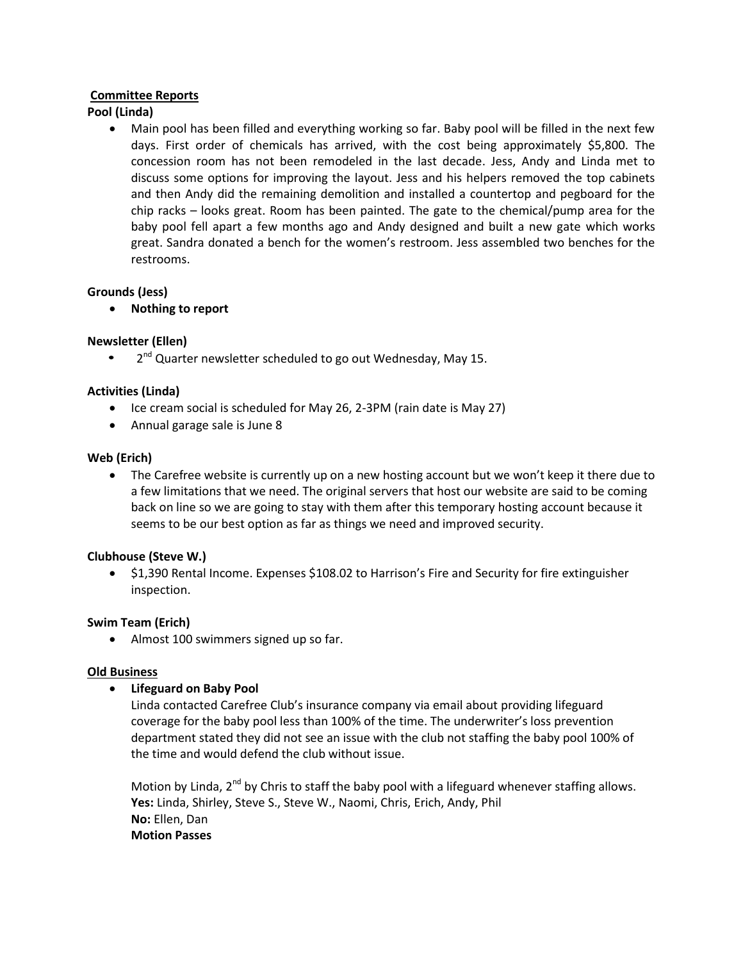### **Committee Reports**

# **Pool (Linda)**

 Main pool has been filled and everything working so far. Baby pool will be filled in the next few days. First order of chemicals has arrived, with the cost being approximately \$5,800. The concession room has not been remodeled in the last decade. Jess, Andy and Linda met to discuss some options for improving the layout. Jess and his helpers removed the top cabinets and then Andy did the remaining demolition and installed a countertop and pegboard for the chip racks – looks great. Room has been painted. The gate to the chemical/pump area for the baby pool fell apart a few months ago and Andy designed and built a new gate which works great. Sandra donated a bench for the women's restroom. Jess assembled two benches for the restrooms.

# **Grounds (Jess)**

**Nothing to report**

# **Newsletter (Ellen)**

• 2<sup>nd</sup> Quarter newsletter scheduled to go out Wednesday, May 15.

# **Activities (Linda)**

- Ice cream social is scheduled for May 26, 2-3PM (rain date is May 27)
- Annual garage sale is June 8

### **Web (Erich)**

• The Carefree website is currently up on a new hosting account but we won't keep it there due to a few limitations that we need. The original servers that host our website are said to be coming back on line so we are going to stay with them after this temporary hosting account because it seems to be our best option as far as things we need and improved security.

### **Clubhouse (Steve W.)**

 \$1,390 Rental Income. Expenses \$108.02 to Harrison's Fire and Security for fire extinguisher inspection.

### **Swim Team (Erich)**

• Almost 100 swimmers signed up so far.

### **Old Business**

### **Lifeguard on Baby Pool**

Linda contacted Carefree Club's insurance company via email about providing lifeguard coverage for the baby pool less than 100% of the time. The underwriter's loss prevention department stated they did not see an issue with the club not staffing the baby pool 100% of the time and would defend the club without issue.

Motion by Linda, 2<sup>nd</sup> by Chris to staff the baby pool with a lifeguard whenever staffing allows. **Yes:** Linda, Shirley, Steve S., Steve W., Naomi, Chris, Erich, Andy, Phil **No:** Ellen, Dan **Motion Passes**